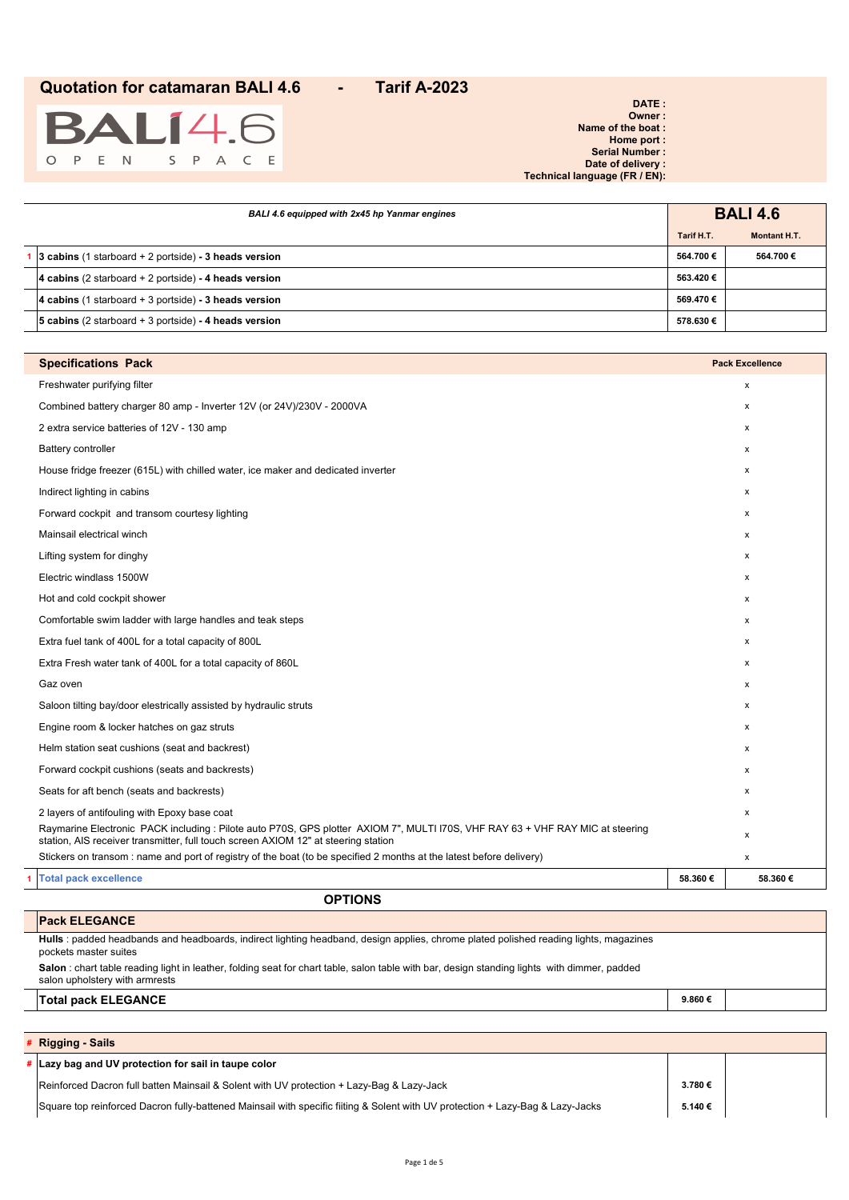

**DATE : Owner : Name of the boat : Home port : Serial Number : Date of delivery : Technical language (FR / EN):**

| BALI 4.6 equipped with 2x45 hp Yanmar engines             |            | <b>BALI 4.6</b> |
|-----------------------------------------------------------|------------|-----------------|
|                                                           | Tarif H.T. | Montant H.T.    |
| 1 3 cabins (1 starboard $+ 2$ portside) - 3 heads version | 564.700 €  | 564.700 €       |
| 4 cabins (2 starboard $+ 2$ portside) - 4 heads version   | 563.420€   |                 |
| 4 cabins (1 starboard $+3$ portside) - 3 heads version    | 569.470€   |                 |
| 5 cabins (2 starboard $+3$ portside) - 4 heads version    | 578.630€   |                 |

| <b>Specifications Pack</b>                                                                                                                                                                                           |         | <b>Pack Excellence</b> |
|----------------------------------------------------------------------------------------------------------------------------------------------------------------------------------------------------------------------|---------|------------------------|
| Freshwater purifying filter                                                                                                                                                                                          |         | $\pmb{\mathsf{x}}$     |
| Combined battery charger 80 amp - Inverter 12V (or 24V)/230V - 2000VA                                                                                                                                                |         | X                      |
| 2 extra service batteries of 12V - 130 amp                                                                                                                                                                           |         | x                      |
| Battery controller                                                                                                                                                                                                   |         | X                      |
| House fridge freezer (615L) with chilled water, ice maker and dedicated inverter                                                                                                                                     |         | x                      |
| Indirect lighting in cabins                                                                                                                                                                                          |         | $\mathsf{x}$           |
| Forward cockpit and transom courtesy lighting                                                                                                                                                                        |         | x                      |
| Mainsail electrical winch                                                                                                                                                                                            |         | x                      |
| Lifting system for dinghy                                                                                                                                                                                            |         | X                      |
| Electric windlass 1500W                                                                                                                                                                                              |         | X                      |
| Hot and cold cockpit shower                                                                                                                                                                                          |         | x                      |
| Comfortable swim ladder with large handles and teak steps                                                                                                                                                            |         | x                      |
| Extra fuel tank of 400L for a total capacity of 800L                                                                                                                                                                 |         | x                      |
| Extra Fresh water tank of 400L for a total capacity of 860L                                                                                                                                                          |         | X                      |
| Gaz oven                                                                                                                                                                                                             |         | X                      |
| Saloon tilting bay/door elestrically assisted by hydraulic struts                                                                                                                                                    |         | X                      |
| Engine room & locker hatches on gaz struts                                                                                                                                                                           |         | X                      |
| Helm station seat cushions (seat and backrest)                                                                                                                                                                       |         | X                      |
| Forward cockpit cushions (seats and backrests)                                                                                                                                                                       |         | X                      |
| Seats for aft bench (seats and backrests)                                                                                                                                                                            |         | $\mathsf{x}$           |
| 2 layers of antifouling with Epoxy base coat                                                                                                                                                                         |         | x                      |
| Raymarine Electronic PACK including : Pilote auto P70S, GPS plotter AXIOM 7", MULTI I70S, VHF RAY 63 + VHF RAY MIC at steering<br>station, AIS receiver transmitter, full touch screen AXIOM 12" at steering station |         | x                      |
| Stickers on transom : name and port of registry of the boat (to be specified 2 months at the latest before delivery)                                                                                                 |         | x                      |
| <b>Total pack excellence</b>                                                                                                                                                                                         | 58.360€ | 58.360€                |
| <b>OPTIONS</b>                                                                                                                                                                                                       |         |                        |

| <b>Pack ELEGANCE</b>                                                                                                                                                           |        |  |
|--------------------------------------------------------------------------------------------------------------------------------------------------------------------------------|--------|--|
| Hulls : padded headbands and headboards, indirect lighting headband, design applies, chrome plated polished reading lights, magazines<br>pockets master suites                 |        |  |
| Salon : chart table reading light in leather, folding seat for chart table, salon table with bar, design standing lights with dimmer, padded<br>salon upholstery with armrests |        |  |
| <b>Total pack ELEGANCE</b>                                                                                                                                                     | 9.860€ |  |
|                                                                                                                                                                                |        |  |

#### **# Rigging - Sails**

| # Lazy bag and UV protection for sail in taupe color                                                                           |        |  |
|--------------------------------------------------------------------------------------------------------------------------------|--------|--|
| Reinforced Dacron full batten Mainsail & Solent with UV protection + Lazy-Bag & Lazy-Jack                                      | 3.780€ |  |
| Square top reinforced Dacron fully-battened Mainsail with specific fiiting & Solent with UV protection + Lazy-Bag & Lazy-Jacks | 5.140€ |  |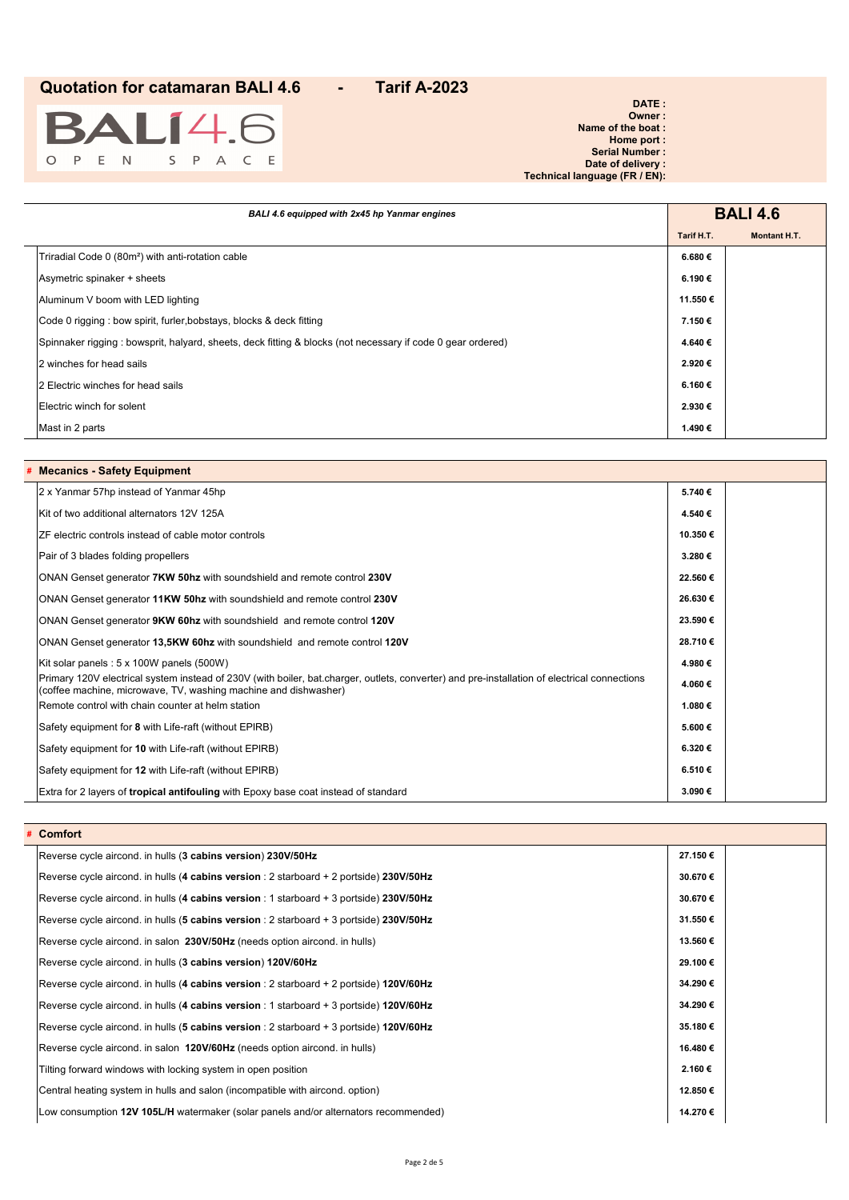

**DATE : Owner : Name of the boat : Home port : Serial Number : Date of delivery : Technical language (FR / EN):**

| BALI 4.6 equipped with 2x45 hp Yanmar engines                                                              |            | <b>BALI 4.6</b>     |
|------------------------------------------------------------------------------------------------------------|------------|---------------------|
|                                                                                                            | Tarif H.T. | <b>Montant H.T.</b> |
| Triradial Code 0 (80m <sup>2</sup> ) with anti-rotation cable                                              | 6.680€     |                     |
| Asymetric spinaker + sheets                                                                                | 6.190€     |                     |
| Aluminum V boom with LED lighting                                                                          | 11.550€    |                     |
| Code 0 rigging : bow spirit, furler, bobstays, blocks & deck fitting                                       | 7.150€     |                     |
| Spinnaker rigging: bowsprit, halyard, sheets, deck fitting & blocks (not necessary if code 0 gear ordered) | 4.640 €    |                     |
| 2 winches for head sails                                                                                   | 2.920€     |                     |
| 2 Electric winches for head sails                                                                          | 6.160€     |                     |
| Electric winch for solent                                                                                  | 2.930€     |                     |
| Mast in 2 parts                                                                                            | 1.490 €    |                     |

|  | # Mecanics - Safety Equipment |  |
|--|-------------------------------|--|
|  |                               |  |

| 2 x Yanmar 57hp instead of Yanmar 45hp                                                                                                                                                                          | 5.740 € |  |
|-----------------------------------------------------------------------------------------------------------------------------------------------------------------------------------------------------------------|---------|--|
| Kit of two additional alternators 12V 125A                                                                                                                                                                      | 4.540 € |  |
| ZF electric controls instead of cable motor controls                                                                                                                                                            | 10.350€ |  |
| Pair of 3 blades folding propellers                                                                                                                                                                             | 3.280€  |  |
| ONAN Genset generator 7KW 50hz with soundshield and remote control 230V                                                                                                                                         | 22.560€ |  |
| ONAN Genset generator 11KW 50hz with soundshield and remote control 230V                                                                                                                                        | 26.630€ |  |
| ONAN Genset generator 9KW 60hz with soundshield and remote control 120V                                                                                                                                         | 23.590€ |  |
| ONAN Genset generator 13,5KW 60hz with soundshield and remote control 120V                                                                                                                                      | 28.710€ |  |
| Kit solar panels : 5 x 100W panels (500W)                                                                                                                                                                       | 4.980€  |  |
| Primary 120V electrical system instead of 230V (with boiler, bat.charger, outlets, converter) and pre-installation of electrical connections<br>(coffee machine, microwave, TV, washing machine and dishwasher) | 4.060€  |  |
| Remote control with chain counter at helm station                                                                                                                                                               | 1.080€  |  |
| Safety equipment for 8 with Life-raft (without EPIRB)                                                                                                                                                           | 5.600€  |  |
| Safety equipment for 10 with Life-raft (without EPIRB)                                                                                                                                                          | 6.320€  |  |
| Safety equipment for 12 with Life-raft (without EPIRB)                                                                                                                                                          | 6.510€  |  |
| Extra for 2 layers of <b>tropical antifouling</b> with Epoxy base coat instead of standard                                                                                                                      | 3.090€  |  |

#### **# Comfort**

| Reverse cycle aircond. in hulls (3 cabins version) 230V/50Hz                              | 27.150€  |  |
|-------------------------------------------------------------------------------------------|----------|--|
| Reverse cycle aircond. in hulls (4 cabins version : 2 starboard + 2 portside) $230V/50Hz$ | 30.670€  |  |
| Reverse cycle aircond. in hulls (4 cabins version : 1 starboard + 3 portside) 230V/50Hz   | 30.670€  |  |
| Reverse cycle aircond. in hulls (5 cabins version : 2 starboard $+$ 3 portside) 230V/50Hz | 31.550€  |  |
| Reverse cycle aircond. in salon 230V/50Hz (needs option aircond. in hulls)                | 13.560€  |  |
| Reverse cycle aircond. in hulls (3 cabins version) 120V/60Hz                              | 29.100€  |  |
| Reverse cycle aircond. in hulls (4 cabins version : 2 starboard + 2 portside) 120V/60Hz   | 34.290€  |  |
| Reverse cycle aircond. in hulls (4 cabins version : 1 starboard + 3 portside) 120V/60Hz   | 34.290€  |  |
| Reverse cycle aircond. in hulls (5 cabins version : 2 starboard $+3$ portside) 120V/60Hz  | 35.180€  |  |
| Reverse cycle aircond. in salon 120V/60Hz (needs option aircond. in hulls)                | 16.480€  |  |
| Tilting forward windows with locking system in open position                              | 2.160 €  |  |
| Central heating system in hulls and salon (incompatible with aircond. option)             | 12.850€  |  |
| Low consumption 12V 105L/H watermaker (solar panels and/or alternators recommended)       | 14.270 € |  |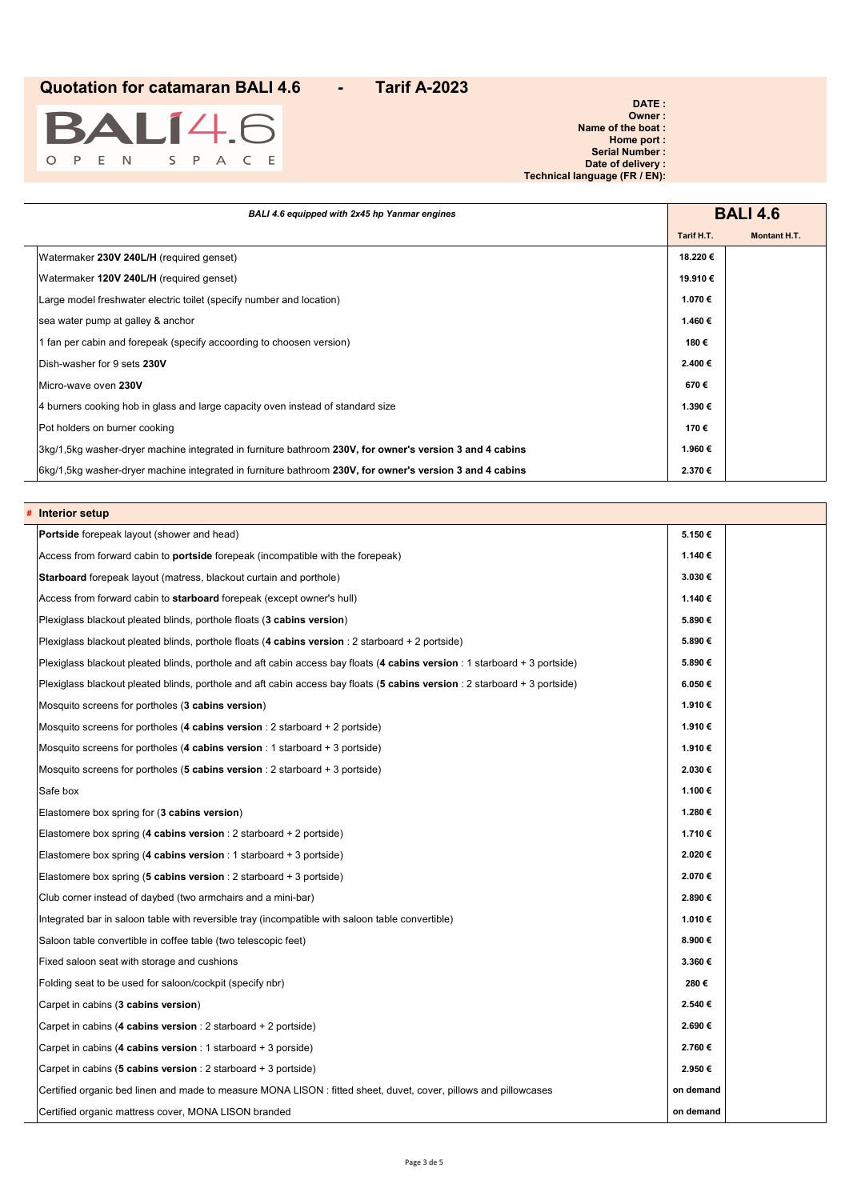

**DATE : Owner : Name of the boat : Home port : Serial Number : Date of delivery : Technical language (FR / EN):**

| BALI 4.6 equipped with 2x45 hp Yanmar engines                                                            |            | <b>BALI 4.6</b>     |
|----------------------------------------------------------------------------------------------------------|------------|---------------------|
|                                                                                                          | Tarif H.T. | <b>Montant H.T.</b> |
| Watermaker 230V 240L/H (required genset)                                                                 | 18.220 €   |                     |
| Watermaker 120V 240L/H (required genset)                                                                 | 19.910 €   |                     |
| Large model freshwater electric toilet (specify number and location)                                     | 1.070 €    |                     |
| sea water pump at galley & anchor                                                                        | 1.460 €    |                     |
| 1 fan per cabin and forepeak (specify accoording to choosen version)                                     | 180€       |                     |
| Dish-washer for 9 sets 230V                                                                              | 2.400 €    |                     |
| Micro-wave oven 230V                                                                                     | 670€       |                     |
| 4 burners cooking hob in glass and large capacity oven instead of standard size                          | 1.390 €    |                     |
| Pot holders on burner cooking                                                                            | 170€       |                     |
| 3kg/1,5kg washer-dryer machine integrated in furniture bathroom 230V, for owner's version 3 and 4 cabins | 1.960 €    |                     |
| 6kg/1,5kg washer-dryer machine integrated in furniture bathroom 230V, for owner's version 3 and 4 cabins | 2.370 €    |                     |

| Interior setup                                                                                                             |           |  |
|----------------------------------------------------------------------------------------------------------------------------|-----------|--|
| <b>Portside</b> forepeak layout (shower and head)                                                                          | 5.150€    |  |
| Access from forward cabin to <b>portside</b> forepeak (incompatible with the forepeak)                                     | 1.140 €   |  |
| <b>Starboard</b> forepeak layout (matress, blackout curtain and porthole)                                                  | 3.030 €   |  |
| Access from forward cabin to <b>starboard</b> forepeak (except owner's hull)                                               | 1.140 €   |  |
| Plexiglass blackout pleated blinds, porthole floats (3 cabins version)                                                     | 5.890€    |  |
| Plexiglass blackout pleated blinds, porthole floats ( <b>4 cabins version</b> : 2 starboard + 2 portside)                  | 5.890€    |  |
| Plexiglass blackout pleated blinds, porthole and aft cabin access bay floats (4 cabins version : 1 starboard + 3 portside) | 5.890€    |  |
| Plexiglass blackout pleated blinds, porthole and aft cabin access bay floats (5 cabins version : 2 starboard + 3 portside) | 6.050€    |  |
| Mosquito screens for portholes (3 cabins version)                                                                          | 1.910 €   |  |
| Mosquito screens for portholes (4 cabins version : 2 starboard + 2 portside)                                               | 1.910 €   |  |
| Mosquito screens for portholes (4 cabins version : 1 starboard + 3 portside)                                               | 1.910 €   |  |
| Mosquito screens for portholes (5 cabins version : 2 starboard + 3 portside)                                               | 2.030€    |  |
| Safe box                                                                                                                   | 1.100€    |  |
| Elastomere box spring for (3 cabins version)                                                                               | 1.280€    |  |
| Elastomere box spring (4 cabins version : 2 starboard + 2 portside)                                                        | 1.710€    |  |
| Elastomere box spring (4 cabins version : 1 starboard + 3 portside)                                                        | 2.020€    |  |
| Elastomere box spring ( <b>5 cabins version</b> : 2 starboard + 3 portside)                                                | 2.070€    |  |
| Club corner instead of daybed (two armchairs and a mini-bar)                                                               | 2.890€    |  |
| Integrated bar in saloon table with reversible tray (incompatible with saloon table convertible)                           | 1.010€    |  |
| Saloon table convertible in coffee table (two telescopic feet)                                                             | 8.900€    |  |
| Fixed saloon seat with storage and cushions                                                                                | 3.360 €   |  |
| Folding seat to be used for saloon/cockpit (specify nbr)_                                                                  | 280€      |  |
| Carpet in cabins (3 cabins version)                                                                                        | 2.540€    |  |
| Carpet in cabins (4 cabins version : 2 starboard + 2 portside)                                                             | 2.690€    |  |
| Carpet in cabins (4 cabins version : 1 starboard + 3 porside)                                                              | 2.760€    |  |
| Carpet in cabins (5 cabins version : 2 starboard + 3 portside)                                                             | 2.950€    |  |
| Certified organic bed linen and made to measure MONA LISON : fitted sheet, duvet, cover, pillows and pillowcases           | on demand |  |
| Certified organic mattress cover, MONA LISON branded                                                                       | on demand |  |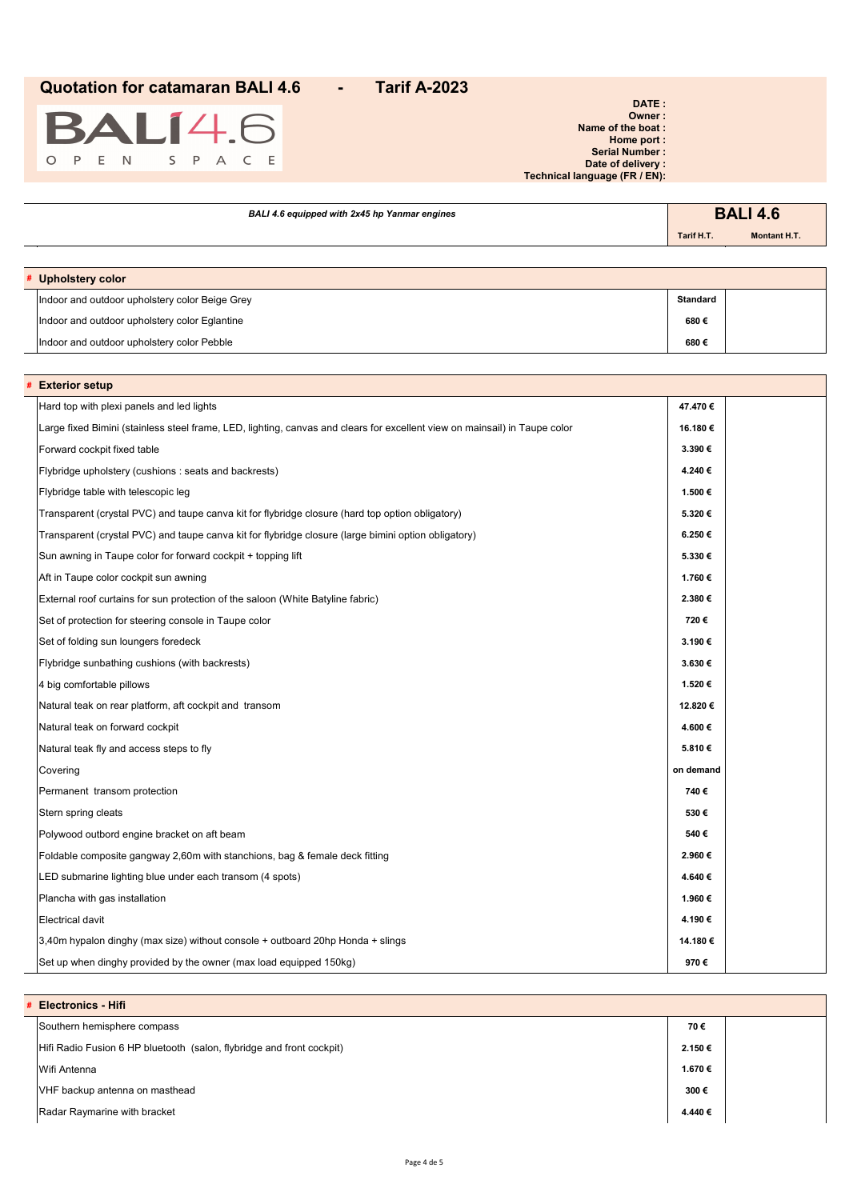

**DATE : Owner : Name of the boat : Home port : Serial Number : Date of delivery : Technical language (FR / EN):**

| BALI 4.6 equipped with 2x45 hp Yanmar engines |            | <b>BALI 4.6</b>     |
|-----------------------------------------------|------------|---------------------|
|                                               | Tarif H.T. | <b>Montant H.T.</b> |
|                                               |            |                     |
| Upholstery color                              |            |                     |

| Indoor and outdoor upholstery color Beige Grey | Standard |  |
|------------------------------------------------|----------|--|
| Indoor and outdoor upholstery color Eglantine  | 680€     |  |
| Indoor and outdoor upholstery color Pebble     | 680€     |  |

| <b>Exterior setup</b>                                                                                                      |           |  |
|----------------------------------------------------------------------------------------------------------------------------|-----------|--|
| Hard top with plexi panels and led lights                                                                                  | 47.470€   |  |
| Large fixed Bimini (stainless steel frame, LED, lighting, canvas and clears for excellent view on mainsail) in Taupe color | 16.180€   |  |
| Forward cockpit fixed table                                                                                                | 3.390€    |  |
| Flybridge upholstery (cushions: seats and backrests)                                                                       | 4.240€    |  |
| Flybridge table with telescopic leg                                                                                        | 1.500 €   |  |
| Transparent (crystal PVC) and taupe canva kit for flybridge closure (hard top option obligatory)                           | 5.320€    |  |
| Transparent (crystal PVC) and taupe canva kit for flybridge closure (large bimini option obligatory)                       | 6.250€    |  |
| Sun awning in Taupe color for forward cockpit + topping lift                                                               | 5.330€    |  |
| Aft in Taupe color cockpit sun awning                                                                                      | 1.760€    |  |
| External roof curtains for sun protection of the saloon (White Batyline fabric)                                            | 2.380€    |  |
| Set of protection for steering console in Taupe color                                                                      | 720€      |  |
| Set of folding sun loungers foredeck                                                                                       | 3.190€    |  |
| Flybridge sunbathing cushions (with backrests)                                                                             | 3.630€    |  |
| 4 big comfortable pillows                                                                                                  | 1.520€    |  |
| Natural teak on rear platform, aft cockpit and transom                                                                     | 12.820€   |  |
| Natural teak on forward cockpit                                                                                            | 4.600€    |  |
| Natural teak fly and access steps to fly                                                                                   | 5.810€    |  |
| Covering                                                                                                                   | on demand |  |
| Permanent transom protection                                                                                               | 740€      |  |
| Stern spring cleats                                                                                                        | 530€      |  |
| Polywood outbord engine bracket on aft beam                                                                                | 540€      |  |
| Foldable composite gangway 2,60m with stanchions, bag & female deck fitting                                                | 2.960€    |  |
| LED submarine lighting blue under each transom (4 spots)                                                                   | 4.640€    |  |
| Plancha with gas installation                                                                                              | 1.960€    |  |
| Electrical davit                                                                                                           | 4.190€    |  |
| 3,40m hypalon dinghy (max size) without console + outboard 20hp Honda + slings                                             | 14.180 €  |  |
| Set up when dinghy provided by the owner (max load equipped 150kg)                                                         | 970€      |  |

| <b>Electronics - Hifi</b>                                             |        |  |  |
|-----------------------------------------------------------------------|--------|--|--|
| Southern hemisphere compass                                           | 70€    |  |  |
| Hifi Radio Fusion 6 HP bluetooth (salon, flybridge and front cockpit) | 2.150€ |  |  |
| Wifi Antenna                                                          | 1.670€ |  |  |
| VHF backup antenna on masthead                                        | 300€   |  |  |
| Radar Raymarine with bracket                                          | 4.440€ |  |  |